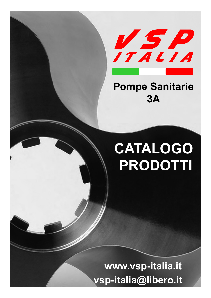

## Pompe Sanitarie 3A

# CATALOGO PRODOTTI

www.vsp-italia.it vsp-italia@libero.it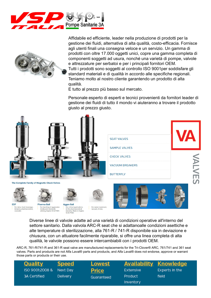



Affidabile ed efficiente, leader nella produzione di prodotti per la gestione dei fluidi, alternativa di alta qualità, costo-efficacia. Fornisce agli utenti finali una consegna veloce e un servizio. Un gamma di prodotti con oltre 17.000 oggetti unici, copre una gamma completa di componenti soggetti ad usura, nonché una varietà di pompe, valvole e attrezzature per serbatoi e per i principali fornitori OEM. Tutti i prodotti sono soggetti al controllo ISO 9001per soddisfare gli standard materiali e di qualità in accordo alle specifiche regionali. Teniamo molto al nostro cliente garantendo un prodotto di alta qualità.

E tutto al prezzo più basso sul mercato.

Personale esperto di esperti e tecnici provenienti da fornitori leader di gestione dei fluidi di tutto il mondo vi aiuteranno a trovare il prodotto giusto al prezzo giusto.



those parts or products or their use.

| <b>Quality</b>      | <b>Speed</b>    | <b>Lowest</b> |                  | <b>Availability Knowledge</b> |
|---------------------|-----------------|---------------|------------------|-------------------------------|
| ISO 9001:2008 &     | Next Day        | <b>Price</b>  | <b>Extensive</b> | Experts in the                |
| <b>3A Certified</b> | <b>Delivery</b> | Guaranteed    | <b>Product</b>   | field                         |
|                     |                 |               | Inventory        |                               |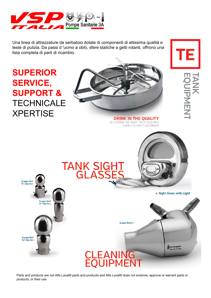

Una linea di attrezzature da serbatoio dotate di componenti di altissima qualità e teste di pulizia. Da passi d 'uomo a oblò, sfere statiche a getti rotanti, offrono una lista completa di parti di ricambio.

**TANK SIGH<br>GLASSE** 

## SUPERIOR SERVICE, SUPPORT & **TECHNICALE XPERTISE**

Scanjet Blo2<br>%" Clip-On >

Scanjet Blo7<br>1%" Clip-On

**Scanjet Blo5** %" Clip-On



**DRINK IN THE QUALITY** DELIVERING THE RIGHT TASTE REQUIRES USING THE RIGHT EQUIPMENT



A Sight Glass with Light

**UIPMENT** 

Scaniet Blo25

f scanjet

Parts and products are not Alfa Laval® parts and products and Alfa Laval® does not endorse, approve or warrant parts or products, or their use

**CLEANING<br>EQUIPMENT**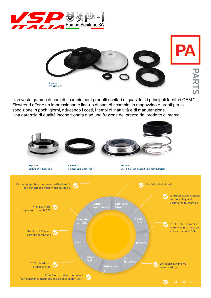



Una vasta gamma di parti di ricambio per i prodotti sanitari di quasi tutti i principali fornitori OEM ", Flowtrend offerte un impressionante line-up di parti di ricambio, in magazzino e pronti per la spedizione in pochi giorni, riducendo i costi, i tempi di inattività e di manutenzione. Una garanzia di qualità incondizionata e ad una frazione del prezzo del prodotto di marca.

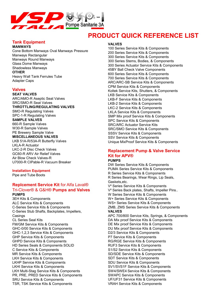

## PRODUCT QUICK REFERENCE LIST

## Tank Equipment

#### MANWAYS

Cone Bottom Manways Oval Manways Pressure Manways Rectangular Manways Round Manways Glass Dome Manways Shadowless Manways **OTHER** Heavy Wall Tank Ferrules Tube Adapter Caps

### Valves

SEAT VALVES ARC/AMO-R Aseptic Seat Valves SRC/SMO-R Seat Valves THROTTLING/REGULATING VALVES SMO-R Regulating Valves SPC-1-R Regulating Valves SAMPLE VALVES 660-R Sample Valves W30-R Sample Valves PE Brewery Sample Valve MISCELLANEOUS VALVES LKB 51A-R/53A-R Butterfly Valves LKLA-R Actuator

LKC-2-R Disc Check Valves GC60-R ARV Air Relief Valves Air Blow Check Valves-R U7000-R CIPable-R Vacuum Breaker

### Installation Equipment

Pipe and Tube Boots

### Replcement Service Kit for Alfa Laval® Tri-Clover® & G&H® Pumps and Valves PUMPS

3EH Kits & Components ALC Service Kits & Components C-Series Service Kits & Components C-Series Stub Shafts, Backplates, Impellers, **Casings** CL Series Seal Kits FM/GM Service Kits & Components GHC-0/00 Service Kits & Components GHC-1,2,3 Service Kits & Components GHP Service Kits & Components GHPD Service Kits & Components HD Series Seals & Components SOLID C Service Kits & Components MR Service Kits & Components LKH Service Kits & Components LKHP Service Kits & Components LKHI Service Kits & Components LKH Multi-Stag Service Kits & Components PR, PRE, PRED Service Kits & Components SRU Service Kits & Components TSR, TSK Service Kits & Components

#### VALVES

100 Series Service Kits & Components 200 Series Service Kits & Components 300 Series Service Kits & Components 300 Series Stems, Bodies, & Components 300 Series Actuator Service Kits & Components 45BY Ball Check Valve Components 600 Series Service Kits & Components 700 Series Service Kits & Components ARC/ARC-SB Service Kits & Components CPM Service Kits & Components Koltek Service Kits, Shutters, & Components LKB Service Kits & Components LKB-F Service Kits & Components LKB-2 Service Kits & Components LKC-2 Service Kits & Components LKLA Service Kits & Components SMP Mix proof Service Kits & Components SPC Service Kits & Components SRC/ARC Actuator Service Kits SRC/SMO Service Kits & Components SSSV Service Kits & Components SSV Service Kits & Components Unique MixProof Service Kits & Components

## Replacement Pump & Valve Service Kit for APV®

## PUMPS

DW Series Service Kits & Components PUMA Series Service Kits & Components R Series Service Kits & Components R Series Bearings, Wear Rings, Lip Seals, Gaskets,etc.

V² Series Service Kits & Components V² Series Back plates, Shafts, Impeller Pins.. W Series Service Kits & Components W+ Series Service Kits & Components WS+ Series Service Kits & Components ZMB, ZMS Series Service Kits & Components VALVES APC 700/800 Service Kits, Springs, & Components DA Mix proof Service Kits & Components DE Mix proof Service Kits & Components DU Mix proof Service Kits & Components D2/3 Service Kits & Components P7 Service Kits & Components RG/RGE Service Kits & Components RUF3 Service Kits & Components S1/S2 Service Kits & Components SD/SDE Service Kits & Components SDT Service Kits & Components SDU Service Kits & Components SV1/SVS1F Service Kits & Components SW4/SWE4 Service Kits & Components SWAPC Service Kits & Components UF/UF31 Service Kits & Components

VRAH Service Kits & Components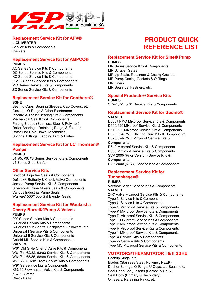

## Replacement Service Kit for APV®

LIQUIVERTER Service Kits & Components **Gaskets** 

## Replacement Service Kit for AMPCO® PUMPS

AC Series Service Kits & Components DC Series Service Kits & Components KC Series Service Kits & Components LC/LD Series Service Kits & Components MC Series Service Kits & Components ZC Series Service Kits & Components

## Replacement Service Kit for Contherm® SSHE

Bearing Caps, Bearing Sleeves, Cap Covers, etc. Gaskets, O-Rings & Other Elastomers Inboard & Thrust Bearing Kits & Components Mechanical Seal Kits & Components Parting Blades (Stainless Steel & Polymer) Roller Bearings, Retaining Rings, & Fastners Rotor End Hold Down Assemblies Springs, Fittings, Lapping Film & Plates

## Replacement Service Kit for LC Thomsen® Pumps

PUMPS

#4, #5, #6, #8 Series Service Kits & Components #4 Series Stub Shafts

## Other Service Kits

Breddo® Liqwifier Seals & Components Definox® Butterfly & Check Valve Components Jensen Pump Service Kits & Components Silverson® Inline Mixers Seals & Components Various Industrial Pump Seals Walker® 500/1000 Gal Blender Seals

## Replacement Service Kit for Waukesha Cherry-Burrell®Pump & Valves PUMPS

200 Series Service Kits & Components C-Series Service Kits & Components C-Series Stub Shafts, Backplates, Followers, etc. Universal I Service Kits & Components Universal II Service Kits & Components Colloid Mill Service Kits & Components VALVES

W61 Old Style Cherry Valve Kits & Components W61/81, 62/82, 63/83 Service Kits & Components W64/84, 65/85, 68/88 Service Kits & Components W71/72/73 Mix Proof Service Kits & Components W91/92 Service kits & Components K67/69 Flowmaster Valve Kits & Components K67/69 Stems Check Balls

## PRODUCT QUICK REFERENCE LIST

## Replacement Service Kit for Sine® Pump PUMPS

MR Series Service Kits & Components MR Scraper Gates MR Lip Seals, Retainers & Casing Gaskets MR Pump Casing Gaskets & O-Rings MR Liners MR Bearings, Fastners, etc.

## Special Products® Service Kits PUMPS

SP-41, 51, & 81 Service Kits & Components

## Replacement Service Kit for Sudmo® VALVES

D365it PMO Mixproof Service Kits & Components D600/620 Mixproof Service Kits & Components D610/630 Mixproof Service Kits & Components D620/624-PMO Cheese Curd Kits & Components D620/624-PMO Mixproof Service Kits &

### **Components**

D640 Mixproof Service Kits & Components D650 Mixproof Service Kits & Components SVP 2000 (Prior Version) Service Kits & **Components** 

SVP 2000 (NEW) Service Kits & Components

## Replacement Service Kit for Tuchenhagen®

## PUMPS

Variflow Series Service Kits & Components VALVES 24/7 Valve Mixproof Service Kits & Components

Type N Service Kits & Component Type U Service Kits & Components Type C Mix proof Service Kits & Components Type K Mix proof Service Kits & Components Type D Mix proof Service Kits & Components Type T Mix proof Service Kits & Components Type B Mix proof Service Kits & Components Type R Mix proof Service Kits & Components Type Y Mix proof Service Kits & Components Type X Service Kits & Components Type W Service Kits & Components Type MO Mix proof Service Kits & Components

## VOTATORS/THERMUTATOR I & II SSHE

Backup Rings, etc. Blades (Stainless Steel, Polymer, PEEK) Dasher Springs, O-Rings, U Cups, Lip Seals, etc. Seal Head/Body Inserts (Carbon & CrOx) Seal Body (Primary & Secondary) Oil Seals, Retaining Rings, etc.